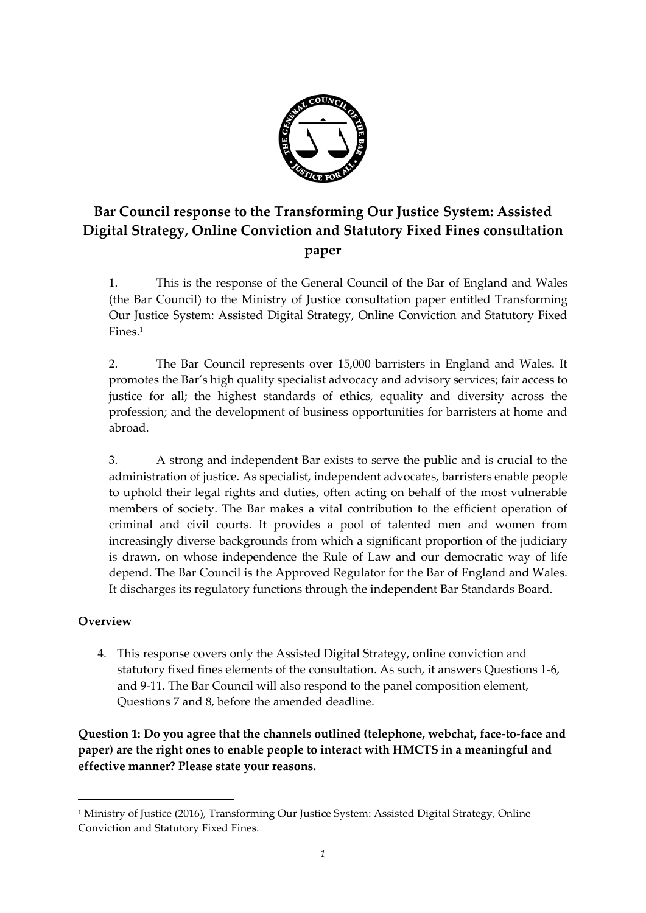

# **Bar Council response to the Transforming Our Justice System: Assisted Digital Strategy, Online Conviction and Statutory Fixed Fines consultation paper**

1. This is the response of the General Council of the Bar of England and Wales (the Bar Council) to the Ministry of Justice consultation paper entitled Transforming Our Justice System: Assisted Digital Strategy, Online Conviction and Statutory Fixed Fines.<sup>1</sup>

2. The Bar Council represents over 15,000 barristers in England and Wales. It promotes the Bar's high quality specialist advocacy and advisory services; fair access to justice for all; the highest standards of ethics, equality and diversity across the profession; and the development of business opportunities for barristers at home and abroad.

3. A strong and independent Bar exists to serve the public and is crucial to the administration of justice. As specialist, independent advocates, barristers enable people to uphold their legal rights and duties, often acting on behalf of the most vulnerable members of society. The Bar makes a vital contribution to the efficient operation of criminal and civil courts. It provides a pool of talented men and women from increasingly diverse backgrounds from which a significant proportion of the judiciary is drawn, on whose independence the Rule of Law and our democratic way of life depend. The Bar Council is the Approved Regulator for the Bar of England and Wales. It discharges its regulatory functions through the independent Bar Standards Board.

# **Overview**

1

4. This response covers only the Assisted Digital Strategy, online conviction and statutory fixed fines elements of the consultation. As such, it answers Questions 1-6, and 9-11. The Bar Council will also respond to the panel composition element, Questions 7 and 8, before the amended deadline.

**Question 1: Do you agree that the channels outlined (telephone, webchat, face-to-face and paper) are the right ones to enable people to interact with HMCTS in a meaningful and effective manner? Please state your reasons.**

<sup>1</sup> Ministry of Justice (2016), Transforming Our Justice System: Assisted Digital Strategy, Online Conviction and Statutory Fixed Fines.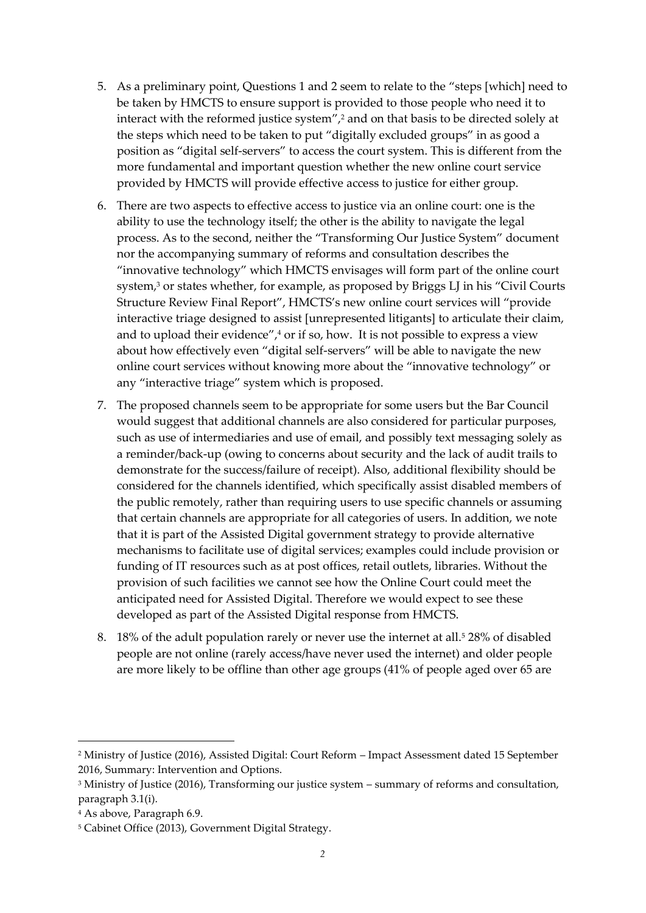- 5. As a preliminary point, Questions 1 and 2 seem to relate to the "steps [which] need to be taken by HMCTS to ensure support is provided to those people who need it to interact with the reformed justice system",<sup>2</sup> and on that basis to be directed solely at the steps which need to be taken to put "digitally excluded groups" in as good a position as "digital self-servers" to access the court system. This is different from the more fundamental and important question whether the new online court service provided by HMCTS will provide effective access to justice for either group.
- 6. There are two aspects to effective access to justice via an online court: one is the ability to use the technology itself; the other is the ability to navigate the legal process. As to the second, neither the "Transforming Our Justice System" document nor the accompanying summary of reforms and consultation describes the "innovative technology" which HMCTS envisages will form part of the online court system,<sup>3</sup> or states whether, for example, as proposed by Briggs LJ in his "Civil Courts Structure Review Final Report", HMCTS's new online court services will "provide interactive triage designed to assist [unrepresented litigants] to articulate their claim, and to upload their evidence", $4$  or if so, how. It is not possible to express a view about how effectively even "digital self-servers" will be able to navigate the new online court services without knowing more about the "innovative technology" or any "interactive triage" system which is proposed.
- 7. The proposed channels seem to be appropriate for some users but the Bar Council would suggest that additional channels are also considered for particular purposes, such as use of intermediaries and use of email, and possibly text messaging solely as a reminder/back-up (owing to concerns about security and the lack of audit trails to demonstrate for the success/failure of receipt). Also, additional flexibility should be considered for the channels identified, which specifically assist disabled members of the public remotely, rather than requiring users to use specific channels or assuming that certain channels are appropriate for all categories of users. In addition, we note that it is part of the Assisted Digital government strategy to provide alternative mechanisms to facilitate use of digital services; examples could include provision or funding of IT resources such as at post offices, retail outlets, libraries. Without the provision of such facilities we cannot see how the Online Court could meet the anticipated need for Assisted Digital. Therefore we would expect to see these developed as part of the Assisted Digital response from HMCTS.
- 8. 18% of the adult population rarely or never use the internet at all.<sup>5</sup> 28% of disabled people are not online (rarely access/have never used the internet) and older people are more likely to be offline than other age groups (41% of people aged over 65 are

1

<sup>2</sup> Ministry of Justice (2016), Assisted Digital: Court Reform – Impact Assessment dated 15 September 2016, Summary: Intervention and Options.

<sup>3</sup> Ministry of Justice (2016), Transforming our justice system – summary of reforms and consultation, paragraph 3.1(i).

<sup>4</sup> As above, Paragraph 6.9.

<sup>5</sup> Cabinet Office (2013), Government Digital Strategy.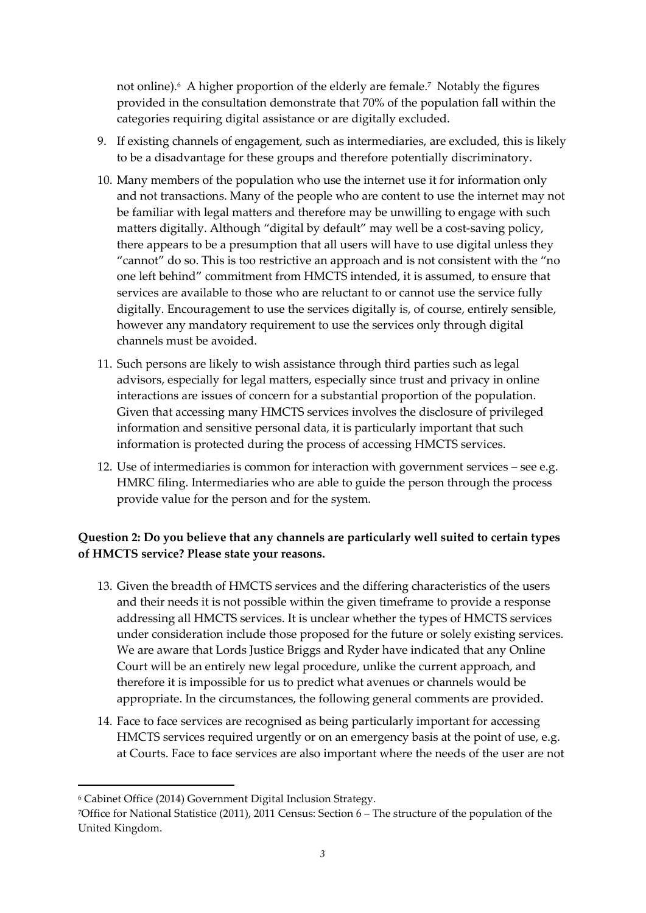not online).<sup>6</sup> A higher proportion of the elderly are female.<sup>7</sup> Notably the figures provided in the consultation demonstrate that 70% of the population fall within the categories requiring digital assistance or are digitally excluded.

- 9. If existing channels of engagement, such as intermediaries, are excluded, this is likely to be a disadvantage for these groups and therefore potentially discriminatory.
- 10. Many members of the population who use the internet use it for information only and not transactions. Many of the people who are content to use the internet may not be familiar with legal matters and therefore may be unwilling to engage with such matters digitally. Although "digital by default" may well be a cost-saving policy, there appears to be a presumption that all users will have to use digital unless they "cannot" do so. This is too restrictive an approach and is not consistent with the "no one left behind" commitment from HMCTS intended, it is assumed, to ensure that services are available to those who are reluctant to or cannot use the service fully digitally. Encouragement to use the services digitally is, of course, entirely sensible, however any mandatory requirement to use the services only through digital channels must be avoided.
- 11. Such persons are likely to wish assistance through third parties such as legal advisors, especially for legal matters, especially since trust and privacy in online interactions are issues of concern for a substantial proportion of the population. Given that accessing many HMCTS services involves the disclosure of privileged information and sensitive personal data, it is particularly important that such information is protected during the process of accessing HMCTS services.
- 12. Use of intermediaries is common for interaction with government services see e.g. HMRC filing. Intermediaries who are able to guide the person through the process provide value for the person and for the system.

## **Question 2: Do you believe that any channels are particularly well suited to certain types of HMCTS service? Please state your reasons.**

- 13. Given the breadth of HMCTS services and the differing characteristics of the users and their needs it is not possible within the given timeframe to provide a response addressing all HMCTS services. It is unclear whether the types of HMCTS services under consideration include those proposed for the future or solely existing services. We are aware that Lords Justice Briggs and Ryder have indicated that any Online Court will be an entirely new legal procedure, unlike the current approach, and therefore it is impossible for us to predict what avenues or channels would be appropriate. In the circumstances, the following general comments are provided.
- 14. Face to face services are recognised as being particularly important for accessing HMCTS services required urgently or on an emergency basis at the point of use, e.g. at Courts. Face to face services are also important where the needs of the user are not

 $\overline{a}$ 

<sup>6</sup> Cabinet Office (2014) Government Digital Inclusion Strategy.

<sup>7</sup>Office for National Statistice (2011), 2011 Census: Section 6 – The structure of the population of the United Kingdom.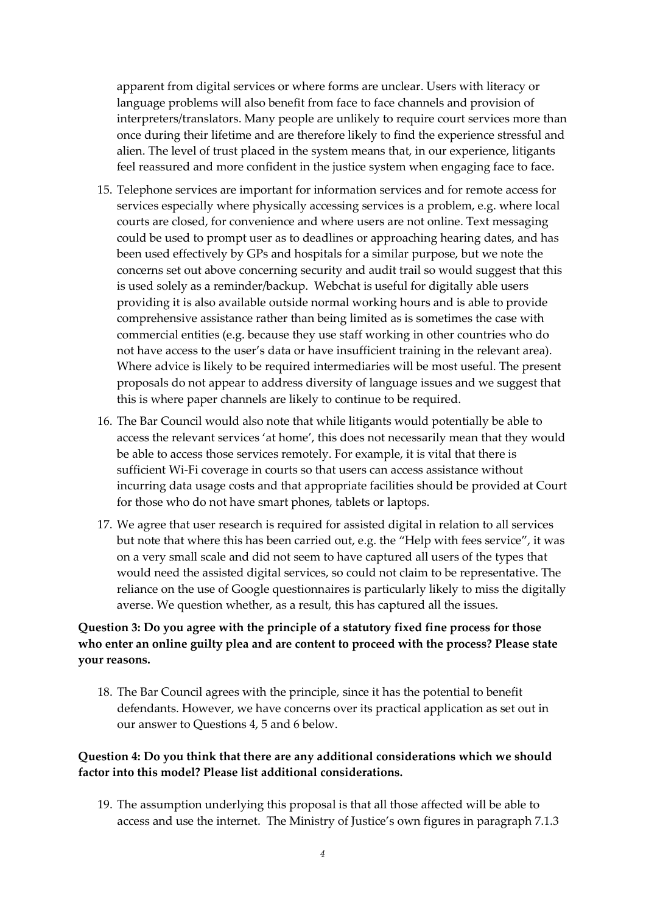apparent from digital services or where forms are unclear. Users with literacy or language problems will also benefit from face to face channels and provision of interpreters/translators. Many people are unlikely to require court services more than once during their lifetime and are therefore likely to find the experience stressful and alien. The level of trust placed in the system means that, in our experience, litigants feel reassured and more confident in the justice system when engaging face to face.

- 15. Telephone services are important for information services and for remote access for services especially where physically accessing services is a problem, e.g. where local courts are closed, for convenience and where users are not online. Text messaging could be used to prompt user as to deadlines or approaching hearing dates, and has been used effectively by GPs and hospitals for a similar purpose, but we note the concerns set out above concerning security and audit trail so would suggest that this is used solely as a reminder/backup. Webchat is useful for digitally able users providing it is also available outside normal working hours and is able to provide comprehensive assistance rather than being limited as is sometimes the case with commercial entities (e.g. because they use staff working in other countries who do not have access to the user's data or have insufficient training in the relevant area). Where advice is likely to be required intermediaries will be most useful. The present proposals do not appear to address diversity of language issues and we suggest that this is where paper channels are likely to continue to be required.
- 16. The Bar Council would also note that while litigants would potentially be able to access the relevant services 'at home', this does not necessarily mean that they would be able to access those services remotely. For example, it is vital that there is sufficient Wi-Fi coverage in courts so that users can access assistance without incurring data usage costs and that appropriate facilities should be provided at Court for those who do not have smart phones, tablets or laptops.
- 17. We agree that user research is required for assisted digital in relation to all services but note that where this has been carried out, e.g. the "Help with fees service", it was on a very small scale and did not seem to have captured all users of the types that would need the assisted digital services, so could not claim to be representative. The reliance on the use of Google questionnaires is particularly likely to miss the digitally averse. We question whether, as a result, this has captured all the issues.

#### **Question 3: Do you agree with the principle of a statutory fixed fine process for those who enter an online guilty plea and are content to proceed with the process? Please state your reasons.**

18. The Bar Council agrees with the principle, since it has the potential to benefit defendants. However, we have concerns over its practical application as set out in our answer to Questions 4, 5 and 6 below.

#### **Question 4: Do you think that there are any additional considerations which we should factor into this model? Please list additional considerations.**

19. The assumption underlying this proposal is that all those affected will be able to access and use the internet. The Ministry of Justice's own figures in paragraph 7.1.3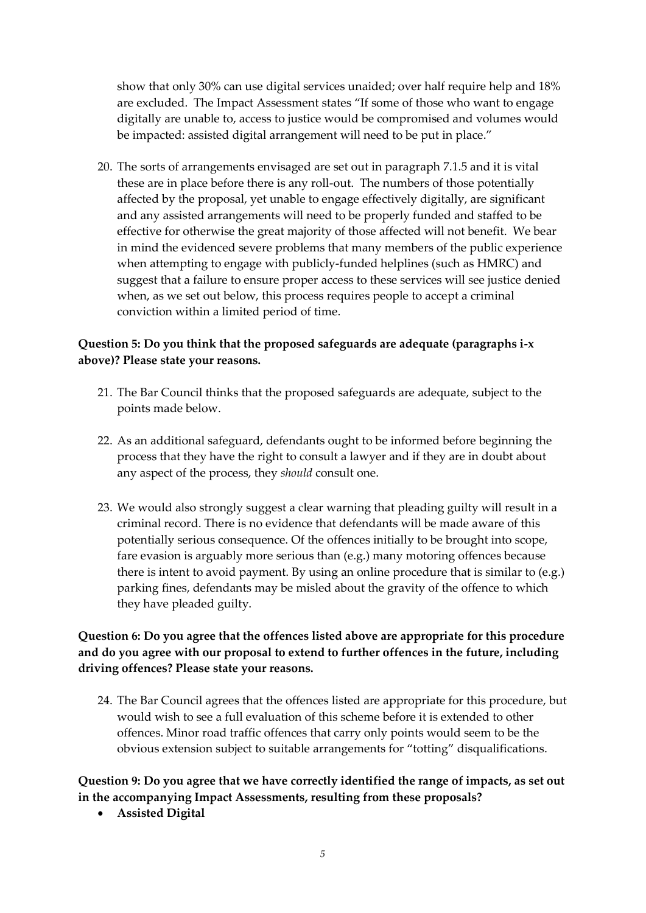show that only 30% can use digital services unaided; over half require help and 18% are excluded. The Impact Assessment states "If some of those who want to engage digitally are unable to, access to justice would be compromised and volumes would be impacted: assisted digital arrangement will need to be put in place."

20. The sorts of arrangements envisaged are set out in paragraph 7.1.5 and it is vital these are in place before there is any roll-out. The numbers of those potentially affected by the proposal, yet unable to engage effectively digitally, are significant and any assisted arrangements will need to be properly funded and staffed to be effective for otherwise the great majority of those affected will not benefit. We bear in mind the evidenced severe problems that many members of the public experience when attempting to engage with publicly-funded helplines (such as HMRC) and suggest that a failure to ensure proper access to these services will see justice denied when, as we set out below, this process requires people to accept a criminal conviction within a limited period of time.

## **Question 5: Do you think that the proposed safeguards are adequate (paragraphs i-x above)? Please state your reasons.**

- 21. The Bar Council thinks that the proposed safeguards are adequate, subject to the points made below.
- 22. As an additional safeguard, defendants ought to be informed before beginning the process that they have the right to consult a lawyer and if they are in doubt about any aspect of the process, they *should* consult one.
- 23. We would also strongly suggest a clear warning that pleading guilty will result in a criminal record. There is no evidence that defendants will be made aware of this potentially serious consequence. Of the offences initially to be brought into scope, fare evasion is arguably more serious than (e.g.) many motoring offences because there is intent to avoid payment. By using an online procedure that is similar to (e.g.) parking fines, defendants may be misled about the gravity of the offence to which they have pleaded guilty.

## **Question 6: Do you agree that the offences listed above are appropriate for this procedure and do you agree with our proposal to extend to further offences in the future, including driving offences? Please state your reasons.**

24. The Bar Council agrees that the offences listed are appropriate for this procedure, but would wish to see a full evaluation of this scheme before it is extended to other offences. Minor road traffic offences that carry only points would seem to be the obvious extension subject to suitable arrangements for "totting" disqualifications.

## **Question 9: Do you agree that we have correctly identified the range of impacts, as set out in the accompanying Impact Assessments, resulting from these proposals?**

**Assisted Digital**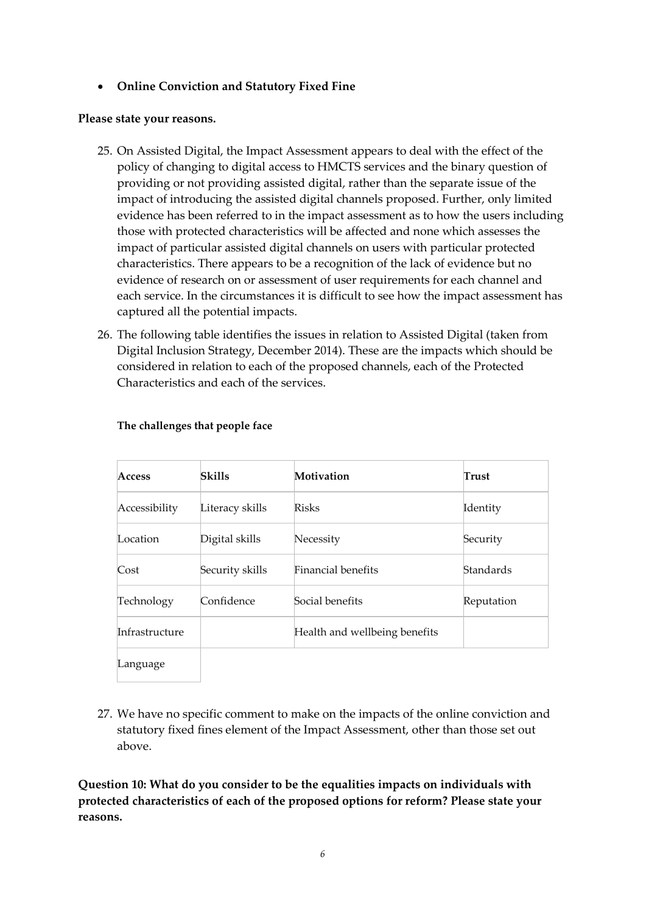#### **Online Conviction and Statutory Fixed Fine**

#### **Please state your reasons.**

- 25. On Assisted Digital, the Impact Assessment appears to deal with the effect of the policy of changing to digital access to HMCTS services and the binary question of providing or not providing assisted digital, rather than the separate issue of the impact of introducing the assisted digital channels proposed. Further, only limited evidence has been referred to in the impact assessment as to how the users including those with protected characteristics will be affected and none which assesses the impact of particular assisted digital channels on users with particular protected characteristics. There appears to be a recognition of the lack of evidence but no evidence of research on or assessment of user requirements for each channel and each service. In the circumstances it is difficult to see how the impact assessment has captured all the potential impacts.
- 26. The following table identifies the issues in relation to Assisted Digital (taken from Digital Inclusion Strategy, December 2014). These are the impacts which should be considered in relation to each of the proposed channels, each of the Protected Characteristics and each of the services.

| Access         | <b>Skills</b>   | Motivation                    | Trust            |
|----------------|-----------------|-------------------------------|------------------|
| Accessibility  | Literacy skills | <b>Risks</b>                  | Identity         |
| Location       | Digital skills  | Necessity                     | Security         |
| Cost           | Security skills | Financial benefits            | <b>Standards</b> |
| Technology     | Confidence      | Social benefits               | Reputation       |
| Infrastructure |                 | Health and wellbeing benefits |                  |
| Language       |                 |                               |                  |

#### **The challenges that people face**

27. We have no specific comment to make on the impacts of the online conviction and statutory fixed fines element of the Impact Assessment, other than those set out above.

**Question 10: What do you consider to be the equalities impacts on individuals with protected characteristics of each of the proposed options for reform? Please state your reasons.**